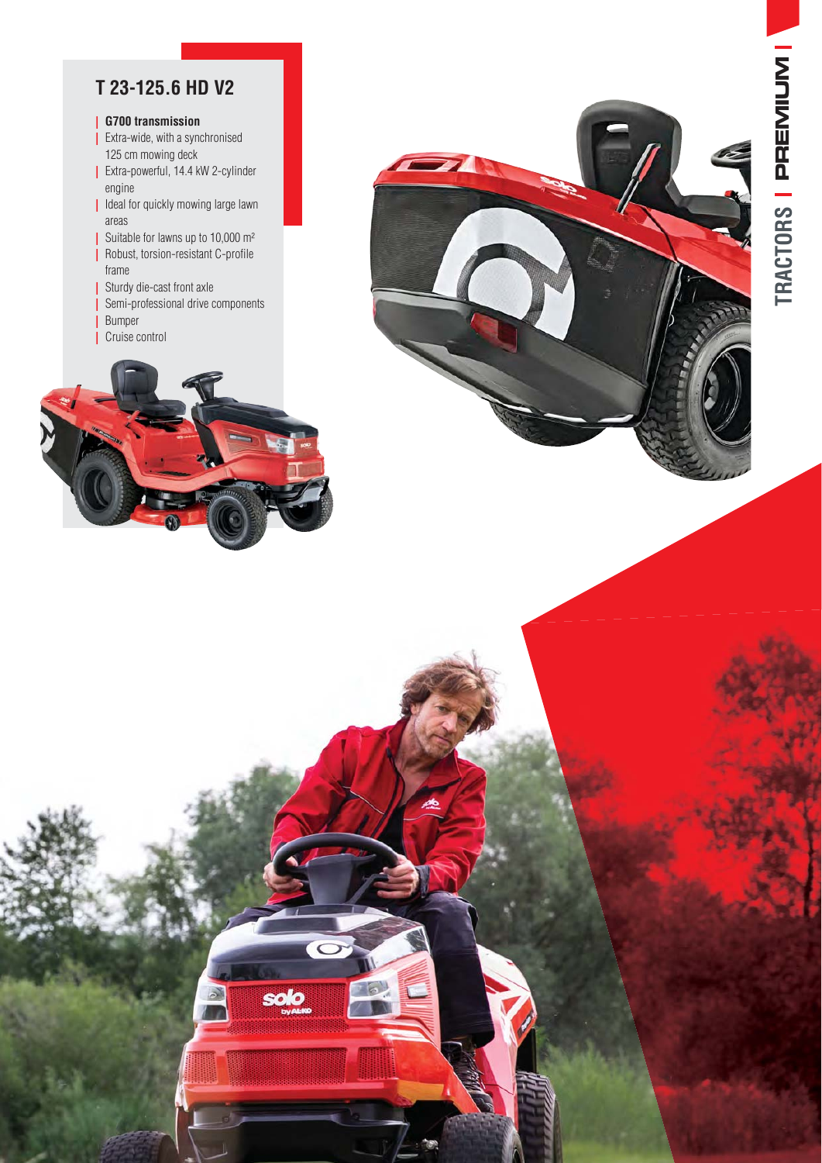## **T 23-125.6 HD V2**

## **| G700 transmission**

- **|** Extra-wide, with a synchronised 125 cm mowing deck
- **Extra-powerful, 14.4 kW 2-cylinder** engine
- **|** Ideal for quickly mowing large lawn areas
- Suitable for lawns up to 10,000  $m<sup>2</sup>$
- **B** Robust, torsion-resistant C-profile frame
- **|** Sturdy die-cast front axle
- **|** Semi-professional drive components
- **|** Bumper
- **|** Cruise control



 $\circ$